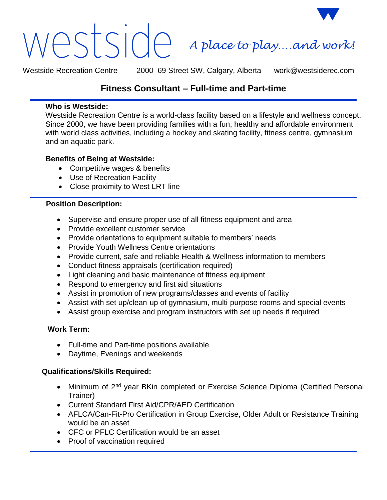# *A place to play….and work!*

Westside Recreation Centre 2000–69 Street SW, Calgary, Alberta work@westsiderec.com

# **Fitness Consultant – Full-time and Part-time**

#### **Who is Westside:**

Westside Recreation Centre is a world-class facility based on a lifestyle and wellness concept. Since 2000, we have been providing families with a fun, healthy and affordable environment with world class activities, including a hockey and skating facility, fitness centre, gymnasium and an aquatic park.

### **Benefits of Being at Westside:**

- Competitive wages & benefits
- Use of Recreation Facility
- Close proximity to West LRT line

## **Position Description:**

- Supervise and ensure proper use of all fitness equipment and area
- Provide excellent customer service
- Provide orientations to equipment suitable to members' needs
- Provide Youth Wellness Centre orientations
- Provide current, safe and reliable Health & Wellness information to members
- Conduct fitness appraisals (certification required)
- Light cleaning and basic maintenance of fitness equipment
- Respond to emergency and first aid situations
- Assist in promotion of new programs/classes and events of facility
- Assist with set up/clean-up of gymnasium, multi-purpose rooms and special events
- Assist group exercise and program instructors with set up needs if required

# **Work Term:**

- Full-time and Part-time positions available
- Daytime, Evenings and weekends

# **Qualifications/Skills Required:**

- Minimum of 2<sup>nd</sup> year BKin completed or Exercise Science Diploma (Certified Personal Trainer)
- Current Standard First Aid/CPR/AED Certification
- AFLCA/Can-Fit-Pro Certification in Group Exercise, Older Adult or Resistance Training would be an asset
- CFC or PFLC Certification would be an asset
- Proof of vaccination required